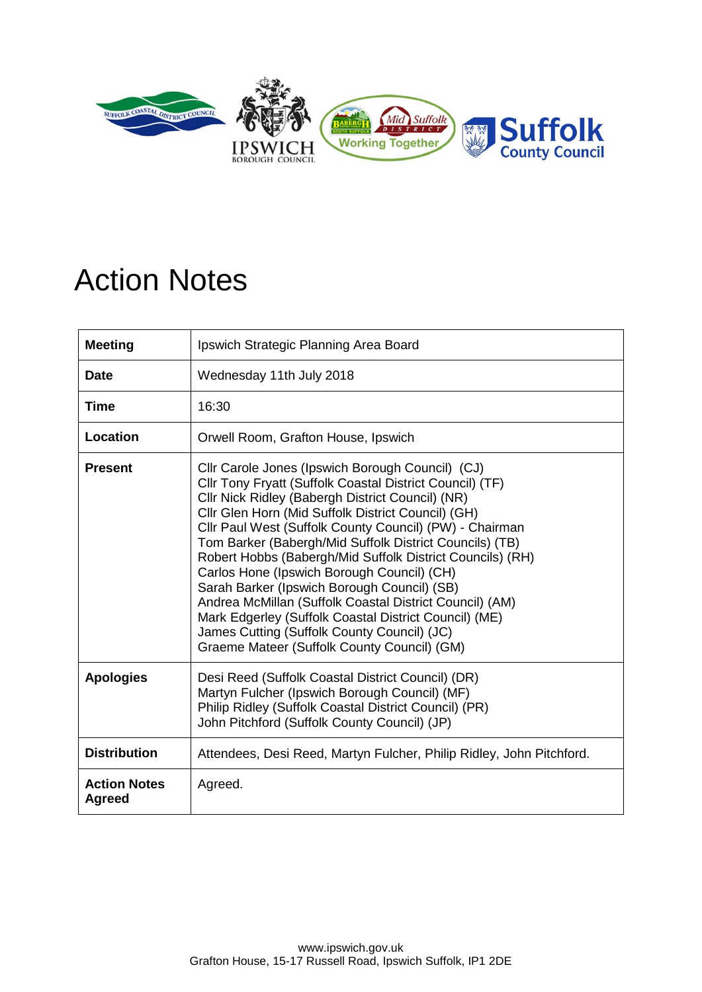

## Action Notes

| <b>Meeting</b>                       | Ipswich Strategic Planning Area Board                                                                                                                                                                                                                                                                                                                                                                                                                                                                                                                                                                                                                                                                                    |
|--------------------------------------|--------------------------------------------------------------------------------------------------------------------------------------------------------------------------------------------------------------------------------------------------------------------------------------------------------------------------------------------------------------------------------------------------------------------------------------------------------------------------------------------------------------------------------------------------------------------------------------------------------------------------------------------------------------------------------------------------------------------------|
| <b>Date</b>                          | Wednesday 11th July 2018                                                                                                                                                                                                                                                                                                                                                                                                                                                                                                                                                                                                                                                                                                 |
| <b>Time</b>                          | 16:30                                                                                                                                                                                                                                                                                                                                                                                                                                                                                                                                                                                                                                                                                                                    |
| Location                             | Orwell Room, Grafton House, Ipswich                                                                                                                                                                                                                                                                                                                                                                                                                                                                                                                                                                                                                                                                                      |
| <b>Present</b>                       | Cllr Carole Jones (Ipswich Borough Council) (CJ)<br>Cllr Tony Fryatt (Suffolk Coastal District Council) (TF)<br>Cllr Nick Ridley (Babergh District Council) (NR)<br>Cllr Glen Horn (Mid Suffolk District Council) (GH)<br>Cllr Paul West (Suffolk County Council) (PW) - Chairman<br>Tom Barker (Babergh/Mid Suffolk District Councils) (TB)<br>Robert Hobbs (Babergh/Mid Suffolk District Councils) (RH)<br>Carlos Hone (Ipswich Borough Council) (CH)<br>Sarah Barker (Ipswich Borough Council) (SB)<br>Andrea McMillan (Suffolk Coastal District Council) (AM)<br>Mark Edgerley (Suffolk Coastal District Council) (ME)<br>James Cutting (Suffolk County Council) (JC)<br>Graeme Mateer (Suffolk County Council) (GM) |
| <b>Apologies</b>                     | Desi Reed (Suffolk Coastal District Council) (DR)<br>Martyn Fulcher (Ipswich Borough Council) (MF)<br>Philip Ridley (Suffolk Coastal District Council) (PR)<br>John Pitchford (Suffolk County Council) (JP)                                                                                                                                                                                                                                                                                                                                                                                                                                                                                                              |
| <b>Distribution</b>                  | Attendees, Desi Reed, Martyn Fulcher, Philip Ridley, John Pitchford.                                                                                                                                                                                                                                                                                                                                                                                                                                                                                                                                                                                                                                                     |
| <b>Action Notes</b><br><b>Agreed</b> | Agreed.                                                                                                                                                                                                                                                                                                                                                                                                                                                                                                                                                                                                                                                                                                                  |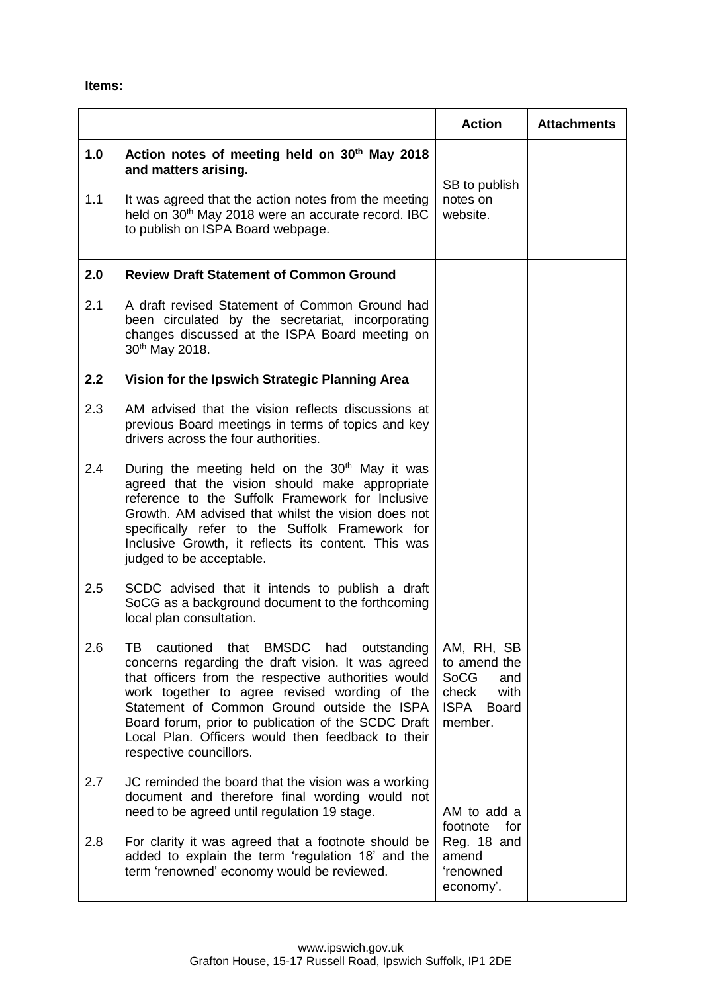## **Items:**

|     |                                                                                                                                                                                                                                                                                                                                                                                                   | <b>Action</b>                                                                                        | <b>Attachments</b> |
|-----|---------------------------------------------------------------------------------------------------------------------------------------------------------------------------------------------------------------------------------------------------------------------------------------------------------------------------------------------------------------------------------------------------|------------------------------------------------------------------------------------------------------|--------------------|
| 1.0 | Action notes of meeting held on 30 <sup>th</sup> May 2018<br>and matters arising.                                                                                                                                                                                                                                                                                                                 | SB to publish                                                                                        |                    |
| 1.1 | It was agreed that the action notes from the meeting<br>held on 30 <sup>th</sup> May 2018 were an accurate record. IBC<br>to publish on ISPA Board webpage.                                                                                                                                                                                                                                       | notes on<br>website.                                                                                 |                    |
| 2.0 | <b>Review Draft Statement of Common Ground</b>                                                                                                                                                                                                                                                                                                                                                    |                                                                                                      |                    |
| 2.1 | A draft revised Statement of Common Ground had<br>been circulated by the secretariat, incorporating<br>changes discussed at the ISPA Board meeting on<br>30 <sup>th</sup> May 2018.                                                                                                                                                                                                               |                                                                                                      |                    |
| 2.2 | Vision for the Ipswich Strategic Planning Area                                                                                                                                                                                                                                                                                                                                                    |                                                                                                      |                    |
| 2.3 | AM advised that the vision reflects discussions at<br>previous Board meetings in terms of topics and key<br>drivers across the four authorities.                                                                                                                                                                                                                                                  |                                                                                                      |                    |
| 2.4 | During the meeting held on the 30 <sup>th</sup> May it was<br>agreed that the vision should make appropriate<br>reference to the Suffolk Framework for Inclusive<br>Growth. AM advised that whilst the vision does not<br>specifically refer to the Suffolk Framework for<br>Inclusive Growth, it reflects its content. This was<br>judged to be acceptable.                                      |                                                                                                      |                    |
| 2.5 | SCDC advised that it intends to publish a draft<br>SoCG as a background document to the forthcoming<br>local plan consultation.                                                                                                                                                                                                                                                                   |                                                                                                      |                    |
| 2.6 | TВ<br>cautioned that BMSDC had<br>outstanding<br>concerns regarding the draft vision. It was agreed<br>that officers from the respective authorities would<br>work together to agree revised wording of the<br>Statement of Common Ground outside the ISPA<br>Board forum, prior to publication of the SCDC Draft<br>Local Plan. Officers would then feedback to their<br>respective councillors. | AM, RH, SB<br>to amend the<br><b>SoCG</b><br>and<br>check<br>with<br>ISPA<br><b>Board</b><br>member. |                    |
| 2.7 | JC reminded the board that the vision was a working<br>document and therefore final wording would not<br>need to be agreed until regulation 19 stage.                                                                                                                                                                                                                                             | AM to add a<br>footnote<br>for                                                                       |                    |
| 2.8 | For clarity it was agreed that a footnote should be<br>added to explain the term 'regulation 18' and the<br>term 'renowned' economy would be reviewed.                                                                                                                                                                                                                                            | Reg. 18 and<br>amend<br>'renowned<br>economy'.                                                       |                    |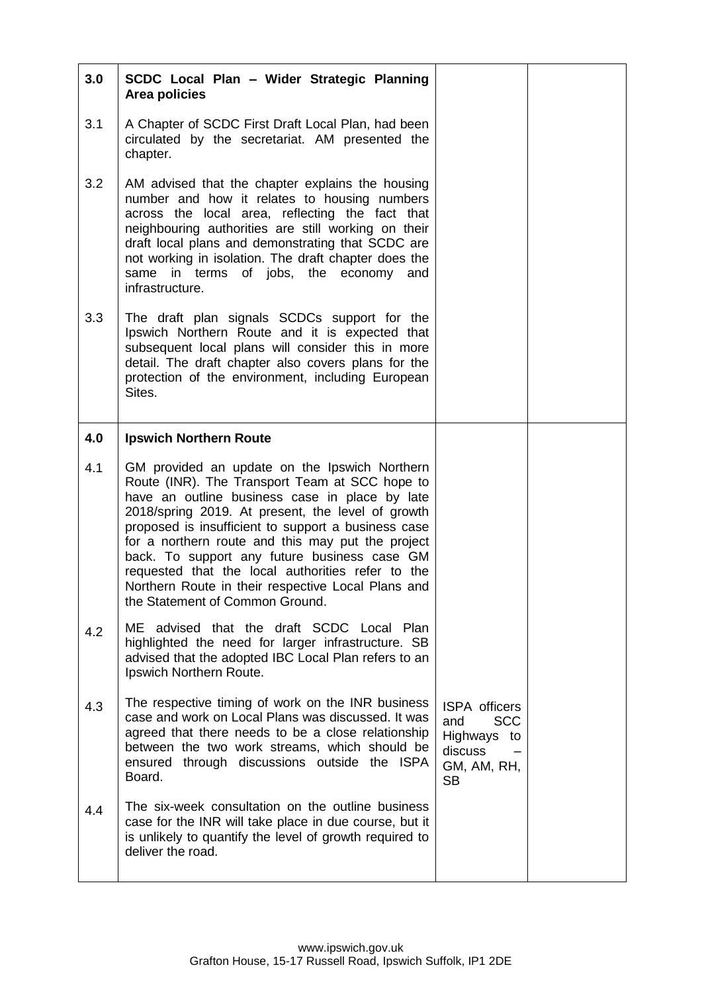| 3.0 | SCDC Local Plan - Wider Strategic Planning<br>Area policies                                                                                                                                                                                                                                                                                                                                                                                                                                                      |                                                                                                 |  |
|-----|------------------------------------------------------------------------------------------------------------------------------------------------------------------------------------------------------------------------------------------------------------------------------------------------------------------------------------------------------------------------------------------------------------------------------------------------------------------------------------------------------------------|-------------------------------------------------------------------------------------------------|--|
| 3.1 | A Chapter of SCDC First Draft Local Plan, had been<br>circulated by the secretariat. AM presented the<br>chapter.                                                                                                                                                                                                                                                                                                                                                                                                |                                                                                                 |  |
| 3.2 | AM advised that the chapter explains the housing<br>number and how it relates to housing numbers<br>across the local area, reflecting the fact that<br>neighbouring authorities are still working on their<br>draft local plans and demonstrating that SCDC are<br>not working in isolation. The draft chapter does the<br>in terms of jobs, the economy and<br>same<br>infrastructure.                                                                                                                          |                                                                                                 |  |
| 3.3 | The draft plan signals SCDCs support for the<br>Ipswich Northern Route and it is expected that<br>subsequent local plans will consider this in more<br>detail. The draft chapter also covers plans for the<br>protection of the environment, including European<br>Sites.                                                                                                                                                                                                                                        |                                                                                                 |  |
| 4.0 | <b>Ipswich Northern Route</b>                                                                                                                                                                                                                                                                                                                                                                                                                                                                                    |                                                                                                 |  |
| 4.1 | GM provided an update on the Ipswich Northern<br>Route (INR). The Transport Team at SCC hope to<br>have an outline business case in place by late<br>2018/spring 2019. At present, the level of growth<br>proposed is insufficient to support a business case<br>for a northern route and this may put the project<br>back. To support any future business case GM<br>requested that the local authorities refer to the<br>Northern Route in their respective Local Plans and<br>the Statement of Common Ground. |                                                                                                 |  |
| 4.2 | ME advised that the draft SCDC Local Plan<br>highlighted the need for larger infrastructure. SB<br>advised that the adopted IBC Local Plan refers to an<br>Ipswich Northern Route.                                                                                                                                                                                                                                                                                                                               |                                                                                                 |  |
| 4.3 | The respective timing of work on the INR business<br>case and work on Local Plans was discussed. It was<br>agreed that there needs to be a close relationship<br>between the two work streams, which should be<br>ensured through discussions outside the ISPA<br>Board.                                                                                                                                                                                                                                         | <b>ISPA</b> officers<br><b>SCC</b><br>and<br>Highways to<br>discuss<br>GM, AM, RH,<br><b>SB</b> |  |
| 4.4 | The six-week consultation on the outline business<br>case for the INR will take place in due course, but it<br>is unlikely to quantify the level of growth required to<br>deliver the road.                                                                                                                                                                                                                                                                                                                      |                                                                                                 |  |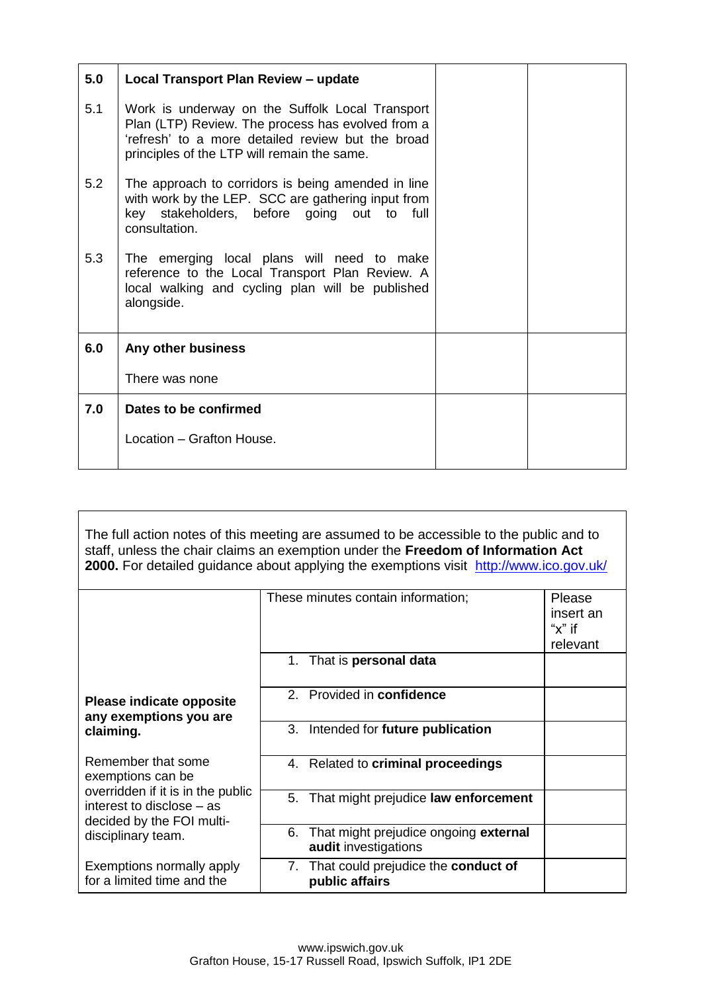| 5.0 | Local Transport Plan Review - update                                                                                                                                                                     |  |
|-----|----------------------------------------------------------------------------------------------------------------------------------------------------------------------------------------------------------|--|
| 5.1 | Work is underway on the Suffolk Local Transport<br>Plan (LTP) Review. The process has evolved from a<br>'refresh' to a more detailed review but the broad<br>principles of the LTP will remain the same. |  |
| 5.2 | The approach to corridors is being amended in line<br>with work by the LEP. SCC are gathering input from<br>key stakeholders, before going out to full<br>consultation.                                  |  |
| 5.3 | The emerging local plans will need to make<br>reference to the Local Transport Plan Review. A<br>local walking and cycling plan will be published<br>alongside.                                          |  |
| 6.0 | Any other business                                                                                                                                                                                       |  |
|     | There was none                                                                                                                                                                                           |  |
| 7.0 | Dates to be confirmed                                                                                                                                                                                    |  |
|     | Location - Grafton House.                                                                                                                                                                                |  |

| The full action notes of this meeting are assumed to be accessible to the public and to<br>staff, unless the chair claims an exemption under the Freedom of Information Act<br>2000. For detailed guidance about applying the exemptions visit http://www.ico.gov.uk/ |                                                                     |                                               |  |
|-----------------------------------------------------------------------------------------------------------------------------------------------------------------------------------------------------------------------------------------------------------------------|---------------------------------------------------------------------|-----------------------------------------------|--|
|                                                                                                                                                                                                                                                                       | These minutes contain information;                                  | Please<br>insert an<br>" $x$ " if<br>relevant |  |
|                                                                                                                                                                                                                                                                       | 1. That is personal data                                            |                                               |  |
| Please indicate opposite<br>any exemptions you are                                                                                                                                                                                                                    | 2. Provided in confidence                                           |                                               |  |
| claiming.                                                                                                                                                                                                                                                             | 3. Intended for future publication                                  |                                               |  |
| Remember that some<br>exemptions can be                                                                                                                                                                                                                               | 4. Related to criminal proceedings                                  |                                               |  |
| overridden if it is in the public<br>interest to disclose – as<br>decided by the FOI multi-                                                                                                                                                                           | 5. That might prejudice law enforcement                             |                                               |  |
| disciplinary team.                                                                                                                                                                                                                                                    | That might prejudice ongoing external<br>6.<br>audit investigations |                                               |  |
| Exemptions normally apply<br>for a limited time and the                                                                                                                                                                                                               | 7. That could prejudice the conduct of<br>public affairs            |                                               |  |

www.ipswich.gov.uk Grafton House, 15-17 Russell Road, Ipswich Suffolk, IP1 2DE